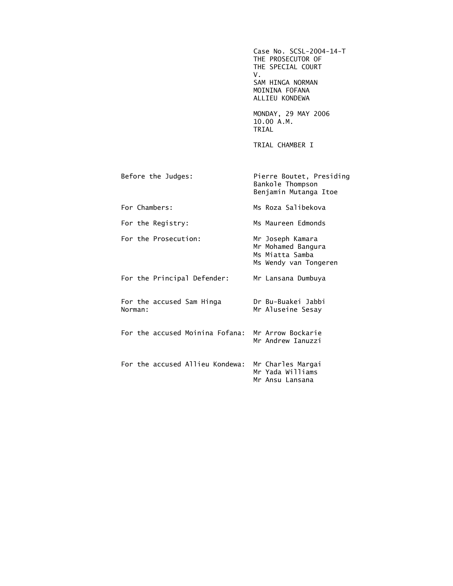Case No. SCSL-2004-14-T THE PROSECUTOR OF THE SPECIAL COURT<br>V. V. SAM HINGA NORMAN MOININA FOFANA ALLIEU KONDEWA

> MONDAY, 29 MAY 2006 10.00 A.M. TRIAL

TRIAL CHAMBER I

Mr Andrew Ianuzzi

| Before the Judges:                                | Pierre Boutet, Presiding<br>Bankole Thompson<br>Benjamin Mutanga Itoe              |
|---------------------------------------------------|------------------------------------------------------------------------------------|
| For Chambers:                                     | Ms Roza Salibekova                                                                 |
| For the Registry:                                 | Ms Maureen Edmonds                                                                 |
| For the Prosecution:                              | Mr Joseph Kamara<br>Mr Mohamed Bangura<br>Ms Miatta Samba<br>Ms Wendy van Tongeren |
| For the Principal Defender:                       | Mr Lansana Dumbuya                                                                 |
| For the accused Sam Hinga<br>Norman:              | Dr Bu-Buakei Jabbi<br>Mr Aluseine Sesay                                            |
| For the accused Moinina Fofana: Mr Arrow Bockarie |                                                                                    |

 For the accused Allieu Kondewa: Mr Charles Margai Mr Yada Williams Mr Ansu Lansana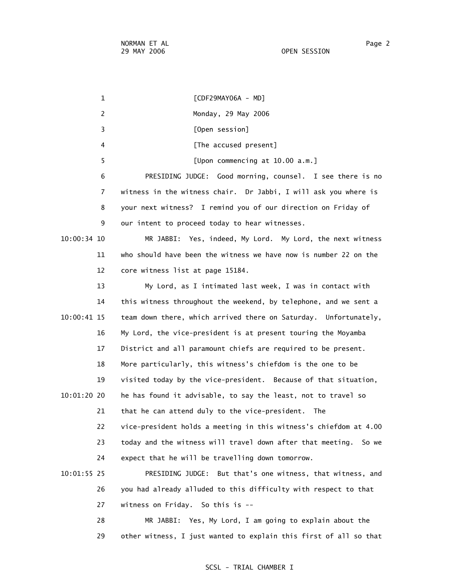1 [CDF29MAY06A - MD] 2 Monday, 29 May 2006 3 [Open session] 4 **A EXECUTE:** [The accused present] 5 [Upon commencing at 10.00 a.m.] 6 PRESIDING JUDGE: Good morning, counsel. I see there is no 7 witness in the witness chair. Dr Jabbi, I will ask you where is 8 your next witness? I remind you of our direction on Friday of 9 our intent to proceed today to hear witnesses. 10:00:34 10 MR JABBI: Yes, indeed, My Lord. My Lord, the next witness 11 who should have been the witness we have now is number 22 on the 12 core witness list at page 15184. 13 My Lord, as I intimated last week, I was in contact with 14 this witness throughout the weekend, by telephone, and we sent a 10:00:41 15 team down there, which arrived there on Saturday. Unfortunately, 16 My Lord, the vice-president is at present touring the Moyamba 17 District and all paramount chiefs are required to be present. 18 More particularly, this witness's chiefdom is the one to be 19 visited today by the vice-president. Because of that situation, 10:01:20 20 he has found it advisable, to say the least, not to travel so 21 that he can attend duly to the vice-president. The 22 vice-president holds a meeting in this witness's chiefdom at 4.00 23 today and the witness will travel down after that meeting. So we 24 expect that he will be travelling down tomorrow. 10:01:55 25 PRESIDING JUDGE: But that's one witness, that witness, and 26 you had already alluded to this difficulty with respect to that 27 witness on Friday. So this is -- 28 MR JABBI: Yes, My Lord, I am going to explain about the

29 other witness, I just wanted to explain this first of all so that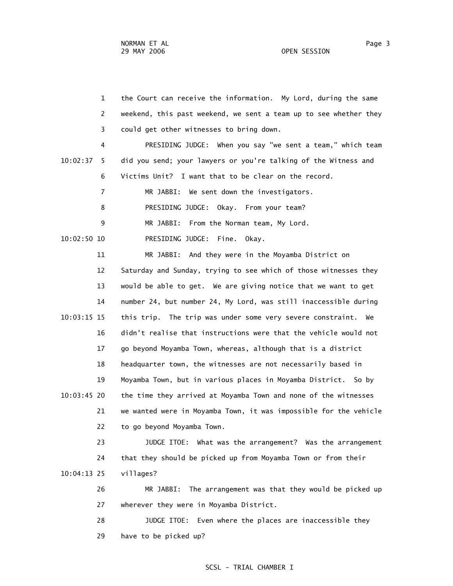|               | $\mathbf{1}$   | the Court can receive the information. My Lord, during the same   |
|---------------|----------------|-------------------------------------------------------------------|
|               | 2              | weekend, this past weekend, we sent a team up to see whether they |
|               | 3              | could get other witnesses to bring down.                          |
|               | 4              | PRESIDING JUDGE: When you say "we sent a team," which team        |
| 10:02:37      | 5              | did you send; your lawyers or you're talking of the Witness and   |
|               | 6              | Victims Unit? I want that to be clear on the record.              |
|               | $\overline{7}$ | MR JABBI: We sent down the investigators.                         |
|               | 8              | PRESIDING JUDGE: Okay. From your team?                            |
|               | 9              | MR JABBI: From the Norman team, My Lord.                          |
| 10:02:50 10   |                | PRESIDING JUDGE: Fine.<br>Okay.                                   |
|               | 11             | MR JABBI: And they were in the Moyamba District on                |
|               | 12             | Saturday and Sunday, trying to see which of those witnesses they  |
|               | 13             | would be able to get. We are giving notice that we want to get    |
|               | 14             | number 24, but number 24, My Lord, was still inaccessible during  |
| $10:03:15$ 15 |                | this trip. The trip was under some very severe constraint. We     |
|               | 16             | didn't realise that instructions were that the vehicle would not  |
|               | 17             | go beyond Moyamba Town, whereas, although that is a district      |
|               | 18             | headquarter town, the witnesses are not necessarily based in      |
|               | 19             | Moyamba Town, but in various places in Moyamba District. So by    |
| $10:03:45$ 20 |                | the time they arrived at Moyamba Town and none of the witnesses   |
|               | 21             | we wanted were in Moyamba Town, it was impossible for the vehicle |
|               | 22             | to go beyond Moyamba Town.                                        |
|               | 23             | JUDGE ITOE: What was the arrangement? Was the arrangement         |
|               | 24             | that they should be picked up from Moyamba Town or from their     |
| $10:04:13$ 25 |                | villages?                                                         |
|               | 26             | The arrangement was that they would be picked up<br>MR JABBI:     |
|               | 27             | wherever they were in Moyamba District.                           |
|               | 28             | Even where the places are inaccessible they<br>JUDGE ITOE:        |
|               | 29             | have to be picked up?                                             |
|               |                |                                                                   |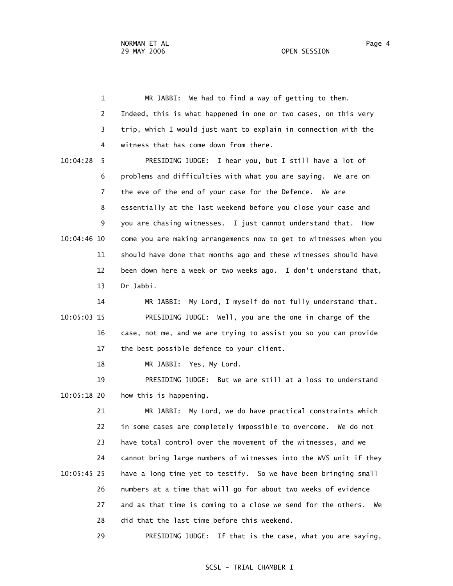1 MR JABBI: We had to find a way of getting to them. 2 Indeed, this is what happened in one or two cases, on this very 3 trip, which I would just want to explain in connection with the 4 witness that has come down from there. 10:04:28 5 PRESIDING JUDGE: I hear you, but I still have a lot of 6 problems and difficulties with what you are saying. We are on 7 the eve of the end of your case for the Defence. We are 8 essentially at the last weekend before you close your case and 9 you are chasing witnesses. I just cannot understand that. How 10:04:46 10 come you are making arrangements now to get to witnesses when you 11 should have done that months ago and these witnesses should have 12 been down here a week or two weeks ago. I don't understand that, 13 Dr Jabbi.

 14 MR JABBI: My Lord, I myself do not fully understand that. 10:05:03 15 PRESIDING JUDGE: Well, you are the one in charge of the 16 case, not me, and we are trying to assist you so you can provide 17 the best possible defence to your client.

18 MR JABBI: Yes, My Lord.

 19 PRESIDING JUDGE: But we are still at a loss to understand 10:05:18 20 how this is happening.

 21 MR JABBI: My Lord, we do have practical constraints which 22 in some cases are completely impossible to overcome. We do not 23 have total control over the movement of the witnesses, and we 24 cannot bring large numbers of witnesses into the WVS unit if they 10:05:45 25 have a long time yet to testify. So we have been bringing small 26 numbers at a time that will go for about two weeks of evidence 27 and as that time is coming to a close we send for the others. We 28 did that the last time before this weekend.

29 PRESIDING JUDGE: If that is the case, what you are saying,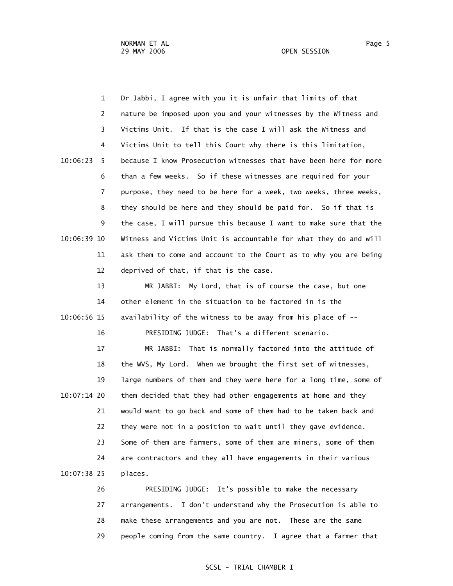1 Dr Jabbi, I agree with you it is unfair that limits of that 2 nature be imposed upon you and your witnesses by the Witness and 3 Victims Unit. If that is the case I will ask the Witness and 4 Victims Unit to tell this Court why there is this limitation, 10:06:23 5 because I know Prosecution witnesses that have been here for more 6 than a few weeks. So if these witnesses are required for your 7 purpose, they need to be here for a week, two weeks, three weeks, 8 they should be here and they should be paid for. So if that is 9 the case, I will pursue this because I want to make sure that the 10:06:39 10 Witness and Victims Unit is accountable for what they do and will 11 ask them to come and account to the Court as to why you are being 12 deprived of that, if that is the case.

 13 MR JABBI: My Lord, that is of course the case, but one 14 other element in the situation to be factored in is the 10:06:56 15 availability of the witness to be away from his place of --

16 PRESIDING JUDGE: That's a different scenario.

 17 MR JABBI: That is normally factored into the attitude of 18 the WVS, My Lord. When we brought the first set of witnesses, 19 large numbers of them and they were here for a long time, some of 10:07:14 20 them decided that they had other engagements at home and they 21 would want to go back and some of them had to be taken back and 22 they were not in a position to wait until they gave evidence. 23 Some of them are farmers, some of them are miners, some of them 24 are contractors and they all have engagements in their various 10:07:38 25 places.

> 26 PRESIDING JUDGE: It's possible to make the necessary 27 arrangements. I don't understand why the Prosecution is able to 28 make these arrangements and you are not. These are the same 29 people coming from the same country. I agree that a farmer that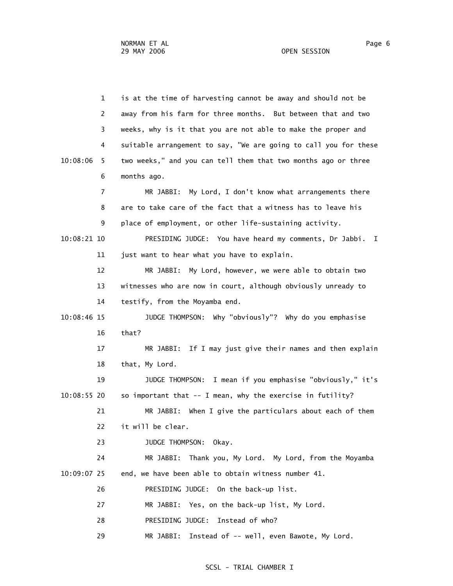1 is at the time of harvesting cannot be away and should not be 2 away from his farm for three months. But between that and two 3 weeks, why is it that you are not able to make the proper and 4 suitable arrangement to say, "We are going to call you for these 10:08:06 5 two weeks," and you can tell them that two months ago or three 6 months ago. 7 MR JABBI: My Lord, I don't know what arrangements there 8 are to take care of the fact that a witness has to leave his 9 place of employment, or other life-sustaining activity. 10:08:21 10 PRESIDING JUDGE: You have heard my comments, Dr Jabbi. I 11 just want to hear what you have to explain. 12 MR JABBI: My Lord, however, we were able to obtain two 13 witnesses who are now in court, although obviously unready to 14 testify, from the Moyamba end. 10:08:46 15 JUDGE THOMPSON: Why "obviously"? Why do you emphasise 16 that? 17 MR JABBI: If I may just give their names and then explain 18 that, My Lord. 19 JUDGE THOMPSON: I mean if you emphasise "obviously," it's 10:08:55 20 so important that -- I mean, why the exercise in futility? 21 MR JABBI: When I give the particulars about each of them 22 it will be clear. 23 JUDGE THOMPSON: Okay. 24 MR JABBI: Thank you, My Lord. My Lord, from the Moyamba 10:09:07 25 end, we have been able to obtain witness number 41. 26 PRESIDING JUDGE: On the back-up list. 27 MR JABBI: Yes, on the back-up list, My Lord. 28 PRESIDING JUDGE: Instead of who? 29 MR JABBI: Instead of -- well, even Bawote, My Lord.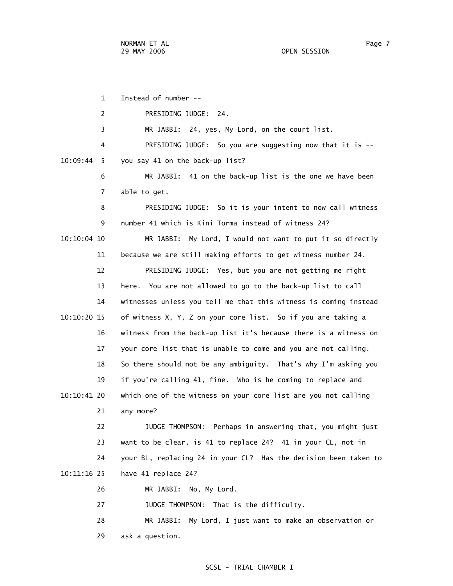|               | $\mathbf{1}$ | Instead of number --                                             |
|---------------|--------------|------------------------------------------------------------------|
|               | 2            | PRESIDING JUDGE: 24.                                             |
|               | 3            | MR JABBI: 24, yes, My Lord, on the court list.                   |
|               | 4            | PRESIDING JUDGE: So you are suggesting now that it is --         |
| 10:09:44      | 5            | you say 41 on the back-up list?                                  |
|               | 6            | MR JABBI: 41 on the back-up list is the one we have been         |
|               | 7            | able to get.                                                     |
|               | 8            | PRESIDING JUDGE: So it is your intent to now call witness        |
|               | 9            | number 41 which is Kini Torma instead of witness 24?             |
| $10:10:04$ 10 |              | MR JABBI: My Lord, I would not want to put it so directly        |
|               | 11           | because we are still making efforts to get witness number 24.    |
|               | 12           | PRESIDING JUDGE: Yes, but you are not getting me right           |
|               | 13           | here. You are not allowed to go to the back-up list to call      |
|               | 14           | witnesses unless you tell me that this witness is coming instead |
| 10:10:20 15   |              | of witness X, Y, Z on your core list. So if you are taking a     |
|               | 16           | witness from the back-up list it's because there is a witness on |
|               | 17           | your core list that is unable to come and you are not calling.   |
|               | 18           | So there should not be any ambiguity. That's why I'm asking you  |
|               | 19           | if you're calling 41, fine. Who is he coming to replace and      |
| 10:10:41 20   |              | which one of the witness on your core list are you not calling   |
|               | 21           | any more?                                                        |
|               | 22           | JUDGE THOMPSON: Perhaps in answering that, you might just        |
|               | 23           | want to be clear, is 41 to replace 24? 41 in your CL, not in     |
|               | 24           | your BL, replacing 24 in your CL? Has the decision been taken to |
| 10:11:16 25   |              | have 41 replace 24?                                              |
|               | 26           | MR JABBI: No, My Lord.                                           |
|               | 27           | JUDGE THOMPSON: That is the difficulty.                          |
|               | 28           | MR JABBI: My Lord, I just want to make an observation or         |
|               |              |                                                                  |

29 ask a question.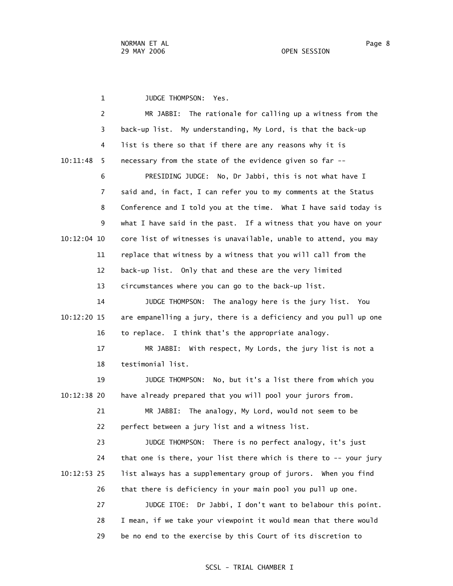1 JUDGE THOMPSON: Yes. 2 MR JABBI: The rationale for calling up a witness from the 3 back-up list. My understanding, My Lord, is that the back-up 4 list is there so that if there are any reasons why it is 10:11:48 5 necessary from the state of the evidence given so far -- 6 PRESIDING JUDGE: No, Dr Jabbi, this is not what have I 7 said and, in fact, I can refer you to my comments at the Status 8 Conference and I told you at the time. What I have said today is 9 what I have said in the past. If a witness that you have on your 10:12:04 10 core list of witnesses is unavailable, unable to attend, you may 11 replace that witness by a witness that you will call from the 12 back-up list. Only that and these are the very limited 13 circumstances where you can go to the back-up list. 14 JUDGE THOMPSON: The analogy here is the jury list. You 10:12:20 15 are empanelling a jury, there is a deficiency and you pull up one 16 to replace. I think that's the appropriate analogy. 17 MR JABBI: With respect, My Lords, the jury list is not a 18 testimonial list. 19 JUDGE THOMPSON: No, but it's a list there from which you 10:12:38 20 have already prepared that you will pool your jurors from. 21 MR JABBI: The analogy, My Lord, would not seem to be 22 perfect between a jury list and a witness list. 23 JUDGE THOMPSON: There is no perfect analogy, it's just 24 that one is there, your list there which is there to -- your jury 10:12:53 25 list always has a supplementary group of jurors. When you find 26 that there is deficiency in your main pool you pull up one. 27 JUDGE ITOE: Dr Jabbi, I don't want to belabour this point. 28 I mean, if we take your viewpoint it would mean that there would 29 be no end to the exercise by this Court of its discretion to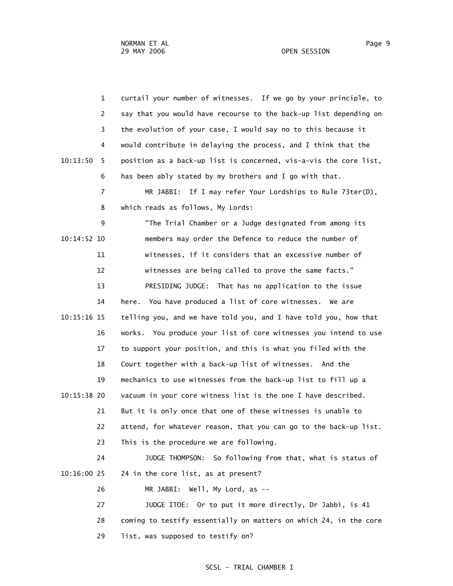OPEN SESSION

| $\mathbf{1}$   | curtail your number of witnesses. If we go by your principle, to  |
|----------------|-------------------------------------------------------------------|
| 2              | say that you would have recourse to the back-up list depending on |
| 3              | the evolution of your case, I would say no to this because it     |
| 4              | would contribute in delaying the process, and I think that the    |
| 10:13:50<br>5. | position as a back-up list is concerned, vis-a-vis the core list, |
| 6              | has been ably stated by my brothers and I go with that.           |
| $\overline{7}$ | MR JABBI: If I may refer Your Lordships to Rule 73ter(D),         |
| 8              | which reads as follows, My Lords:                                 |
| 9              | "The Trial Chamber or a Judge designated from among its           |
| 10:14:52 10    | members may order the Defence to reduce the number of             |
| 11             | witnesses, if it considers that an excessive number of            |
| 12             | witnesses are being called to prove the same facts."              |
| 13             | PRESIDING JUDGE: That has no application to the issue             |
| 14             | here. You have produced a list of core witnesses.<br>We are       |
| 10:15:16 15    | telling you, and we have told you, and I have told you, how that  |
| 16             | works. You produce your list of core witnesses you intend to use  |
| 17             | to support your position, and this is what you filed with the     |
| 18             | Court together with a back-up list of witnesses. And the          |
| 19             | mechanics to use witnesses from the back-up list to fill up a     |
| 10:15:38 20    | vacuum in your core witness list is the one I have described.     |
| 21             | But it is only once that one of these witnesses is unable to      |
| 22             | attend, for whatever reason, that you can go to the back-up list. |
| 23             | This is the procedure we are following.                           |
| 24             | JUDGE THOMPSON:<br>So following from that, what is status of      |
| 10:16:00 25    | 24 in the core list, as at present?                               |
| 26             | Well, My Lord, as $-$<br>MR JABBI:                                |
| 27             | JUDGE ITOE: Or to put it more directly, Dr Jabbi, is 41           |
| 28             | coming to testify essentially on matters on which 24, in the core |
| 29             | list, was supposed to testify on?                                 |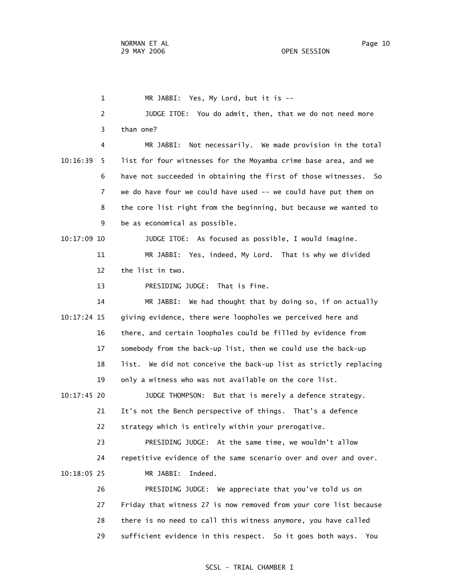1 MR JABBI: Yes, My Lord, but it is -- 2 JUDGE ITOE: You do admit, then, that we do not need more 3 than one? 4 MR JABBI: Not necessarily. We made provision in the total 10:16:39 5 list for four witnesses for the Moyamba crime base area, and we 6 have not succeeded in obtaining the first of those witnesses. So 7 we do have four we could have used -- we could have put them on 8 the core list right from the beginning, but because we wanted to 9 be as economical as possible. 10:17:09 10 JUDGE ITOE: As focused as possible, I would imagine. 11 MR JABBI: Yes, indeed, My Lord. That is why we divided 12 the list in two. 13 PRESIDING JUDGE: That is fine. 14 MR JABBI: We had thought that by doing so, if on actually 10:17:24 15 giving evidence, there were loopholes we perceived here and 16 there, and certain loopholes could be filled by evidence from 17 somebody from the back-up list, then we could use the back-up 18 list. We did not conceive the back-up list as strictly replacing 19 only a witness who was not available on the core list. 10:17:45 20 JUDGE THOMPSON: But that is merely a defence strategy. 21 It's not the Bench perspective of things. That's a defence 22 strategy which is entirely within your prerogative. 23 PRESIDING JUDGE: At the same time, we wouldn't allow 24 repetitive evidence of the same scenario over and over and over. 10:18:05 25 MR JABBI: Indeed. 26 PRESIDING JUDGE: We appreciate that you've told us on 27 Friday that witness 27 is now removed from your core list because 28 there is no need to call this witness anymore, you have called 29 sufficient evidence in this respect. So it goes both ways. You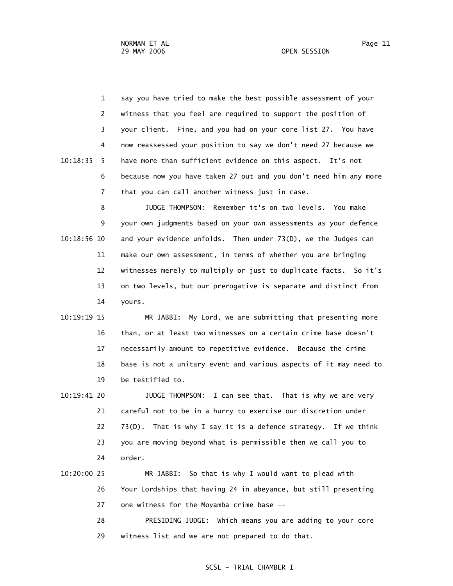1 say you have tried to make the best possible assessment of your 2 witness that you feel are required to support the position of 3 your client. Fine, and you had on your core list 27. You have 4 now reassessed your position to say we don't need 27 because we 10:18:35 5 have more than sufficient evidence on this aspect. It's not 6 because now you have taken 27 out and you don't need him any more 7 that you can call another witness just in case.

 8 JUDGE THOMPSON: Remember it's on two levels. You make 9 your own judgments based on your own assessments as your defence 10:18:56 10 and your evidence unfolds. Then under 73(D), we the Judges can 11 make our own assessment, in terms of whether you are bringing 12 witnesses merely to multiply or just to duplicate facts. So it's 13 on two levels, but our prerogative is separate and distinct from 14 yours.

 10:19:19 15 MR JABBI: My Lord, we are submitting that presenting more 16 than, or at least two witnesses on a certain crime base doesn't 17 necessarily amount to repetitive evidence. Because the crime 18 base is not a unitary event and various aspects of it may need to 19 be testified to.

 10:19:41 20 JUDGE THOMPSON: I can see that. That is why we are very 21 careful not to be in a hurry to exercise our discretion under 22 73(D). That is why I say it is a defence strategy. If we think 23 you are moving beyond what is permissible then we call you to 24 order.

# 10:20:00 25 MR JABBI: So that is why I would want to plead with 26 Your Lordships that having 24 in abeyance, but still presenting 27 one witness for the Moyamba crime base --

 28 PRESIDING JUDGE: Which means you are adding to your core 29 witness list and we are not prepared to do that.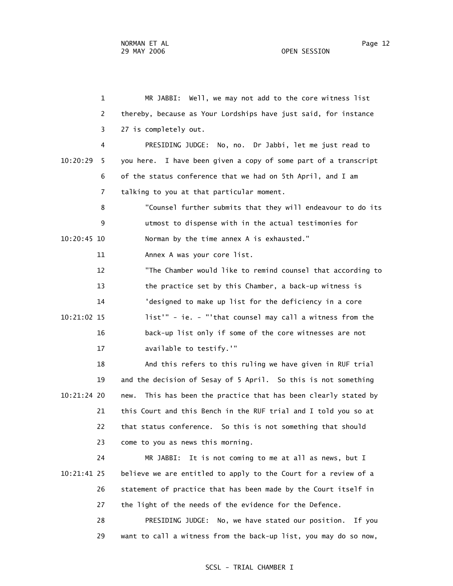1 MR JABBI: Well, we may not add to the core witness list 2 thereby, because as Your Lordships have just said, for instance 3 27 is completely out. 4 PRESIDING JUDGE: No, no. Dr Jabbi, let me just read to 10:20:29 5 you here. I have been given a copy of some part of a transcript 6 of the status conference that we had on 5th April, and I am 7 talking to you at that particular moment. 8 "Counsel further submits that they will endeavour to do its 9 utmost to dispense with in the actual testimonies for 10:20:45 10 Norman by the time annex A is exhausted." 11 Annex A was your core list. 12 "The Chamber would like to remind counsel that according to 13 the practice set by this Chamber, a back-up witness is 14 'designed to make up list for the deficiency in a core 10:21:02 15 list'" - ie. - "'that counsel may call a witness from the 16 back-up list only if some of the core witnesses are not 17 available to testify.'" 18 And this refers to this ruling we have given in RUF trial 19 and the decision of Sesay of 5 April. So this is not something 10:21:24 20 new. This has been the practice that has been clearly stated by

 21 this Court and this Bench in the RUF trial and I told you so at 22 that status conference. So this is not something that should 23 come to you as news this morning.

 24 MR JABBI: It is not coming to me at all as news, but I 10:21:41 25 believe we are entitled to apply to the Court for a review of a 26 statement of practice that has been made by the Court itself in 27 the light of the needs of the evidence for the Defence. 28 PRESIDING JUDGE: No, we have stated our position. If you

29 want to call a witness from the back-up list, you may do so now,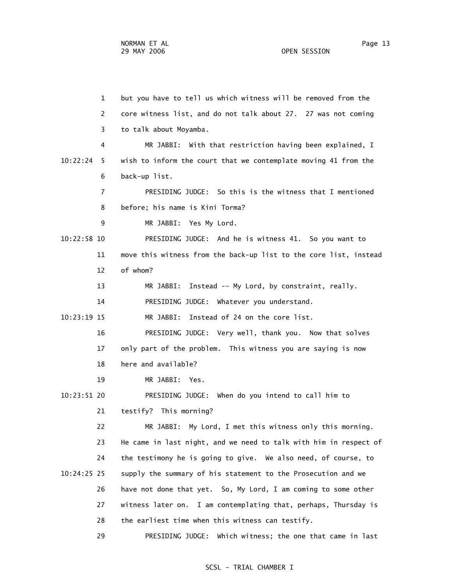1 but you have to tell us which witness will be removed from the 2 core witness list, and do not talk about 27. 27 was not coming 3 to talk about Moyamba. 4 MR JABBI: With that restriction having been explained, I 10:22:24 5 wish to inform the court that we contemplate moving 41 from the 6 back-up list. 7 PRESIDING JUDGE: So this is the witness that I mentioned 8 before; his name is Kini Torma? 9 MR JABBI: Yes My Lord. 10:22:58 10 PRESIDING JUDGE: And he is witness 41. So you want to 11 move this witness from the back-up list to the core list, instead 12 of whom? 13 MR JABBI: Instead -- My Lord, by constraint, really. 14 PRESIDING JUDGE: Whatever you understand. 10:23:19 15 MR JABBI: Instead of 24 on the core list. 16 PRESIDING JUDGE: Very well, thank you. Now that solves 17 only part of the problem. This witness you are saying is now 18 here and available? 19 MR JABBI: Yes. 10:23:51 20 PRESIDING JUDGE: When do you intend to call him to 21 testify? This morning? 22 MR JABBI: My Lord, I met this witness only this morning. 23 He came in last night, and we need to talk with him in respect of 24 the testimony he is going to give. We also need, of course, to 10:24:25 25 supply the summary of his statement to the Prosecution and we 26 have not done that yet. So, My Lord, I am coming to some other 27 witness later on. I am contemplating that, perhaps, Thursday is 28 the earliest time when this witness can testify. 29 PRESIDING JUDGE: Which witness; the one that came in last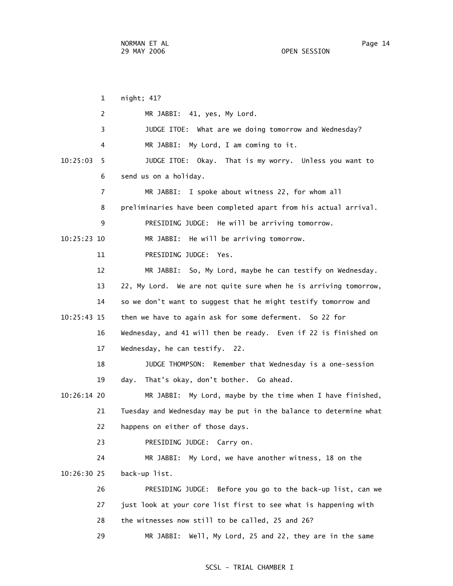1 night; 41? 2 MR JABBI: 41, yes, My Lord. 3 JUDGE ITOE: What are we doing tomorrow and Wednesday? 4 MR JABBI: My Lord, I am coming to it. 10:25:03 5 JUDGE ITOE: Okay. That is my worry. Unless you want to 6 send us on a holiday. 7 MR JABBI: I spoke about witness 22, for whom all 8 preliminaries have been completed apart from his actual arrival. 9 PRESIDING JUDGE: He will be arriving tomorrow. 10:25:23 10 MR JABBI: He will be arriving tomorrow. 11 PRESIDING JUDGE: Yes. 12 MR JABBI: So, My Lord, maybe he can testify on Wednesday. 13 22, My Lord. We are not quite sure when he is arriving tomorrow, 14 so we don't want to suggest that he might testify tomorrow and 10:25:43 15 then we have to again ask for some deferment. So 22 for 16 Wednesday, and 41 will then be ready. Even if 22 is finished on 17 Wednesday, he can testify. 22. 18 JUDGE THOMPSON: Remember that Wednesday is a one-session 19 day. That's okay, don't bother. Go ahead. 10:26:14 20 MR JABBI: My Lord, maybe by the time when I have finished, 21 Tuesday and Wednesday may be put in the balance to determine what 22 happens on either of those days. 23 PRESIDING JUDGE: Carry on. 24 MR JABBI: My Lord, we have another witness, 18 on the 10:26:30 25 back-up list. 26 PRESIDING JUDGE: Before you go to the back-up list, can we 27 just look at your core list first to see what is happening with 28 the witnesses now still to be called, 25 and 26? 29 MR JABBI: Well, My Lord, 25 and 22, they are in the same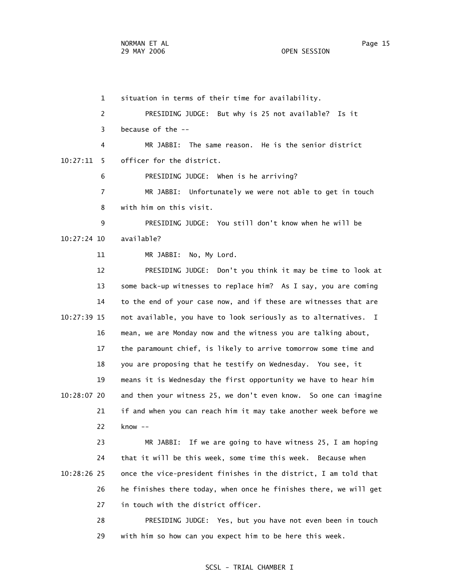1 situation in terms of their time for availability. 2 PRESIDING JUDGE: But why is 25 not available? Is it 3 because of the -- 4 MR JABBI: The same reason. He is the senior district 10:27:11 5 officer for the district. 6 PRESIDING JUDGE: When is he arriving? 7 MR JABBI: Unfortunately we were not able to get in touch 8 with him on this visit. 9 PRESIDING JUDGE: You still don't know when he will be 10:27:24 10 available? 11 MR JABBI: No, My Lord. 12 PRESIDING JUDGE: Don't you think it may be time to look at 13 some back-up witnesses to replace him? As I say, you are coming 14 to the end of your case now, and if these are witnesses that are 10:27:39 15 not available, you have to look seriously as to alternatives. I 16 mean, we are Monday now and the witness you are talking about, 17 the paramount chief, is likely to arrive tomorrow some time and 18 you are proposing that he testify on Wednesday. You see, it 19 means it is Wednesday the first opportunity we have to hear him 10:28:07 20 and then your witness 25, we don't even know. So one can imagine 21 if and when you can reach him it may take another week before we 22 know --

 23 MR JABBI: If we are going to have witness 25, I am hoping 24 that it will be this week, some time this week. Because when 10:28:26 25 once the vice-president finishes in the district, I am told that 26 he finishes there today, when once he finishes there, we will get 27 in touch with the district officer.

> 28 PRESIDING JUDGE: Yes, but you have not even been in touch 29 with him so how can you expect him to be here this week.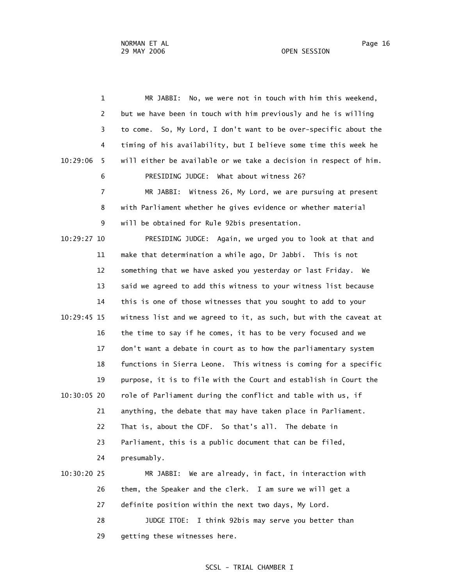1 MR JABBI: No, we were not in touch with him this weekend, 2 but we have been in touch with him previously and he is willing 3 to come. So, My Lord, I don't want to be over-specific about the 4 timing of his availability, but I believe some time this week he 10:29:06 5 will either be available or we take a decision in respect of him. 6 PRESIDING JUDGE: What about witness 26? 7 MR JABBI: Witness 26, My Lord, we are pursuing at present 8 with Parliament whether he gives evidence or whether material 9 will be obtained for Rule 92bis presentation. 10:29:27 10 PRESIDING JUDGE: Again, we urged you to look at that and 11 make that determination a while ago, Dr Jabbi. This is not 12 something that we have asked you yesterday or last Friday. We 13 said we agreed to add this witness to your witness list because 14 this is one of those witnesses that you sought to add to your 10:29:45 15 witness list and we agreed to it, as such, but with the caveat at 16 the time to say if he comes, it has to be very focused and we 17 don't want a debate in court as to how the parliamentary system 18 functions in Sierra Leone. This witness is coming for a specific 19 purpose, it is to file with the Court and establish in Court the 10:30:05 20 role of Parliament during the conflict and table with us, if 21 anything, the debate that may have taken place in Parliament. 22 That is, about the CDF. So that's all. The debate in 23 Parliament, this is a public document that can be filed, 24 presumably. 10:30:20 25 MR JABBI: We are already, in fact, in interaction with 26 them, the Speaker and the clerk. I am sure we will get a 27 definite position within the next two days, My Lord. 28 JUDGE ITOE: I think 92bis may serve you better than

29 getting these witnesses here.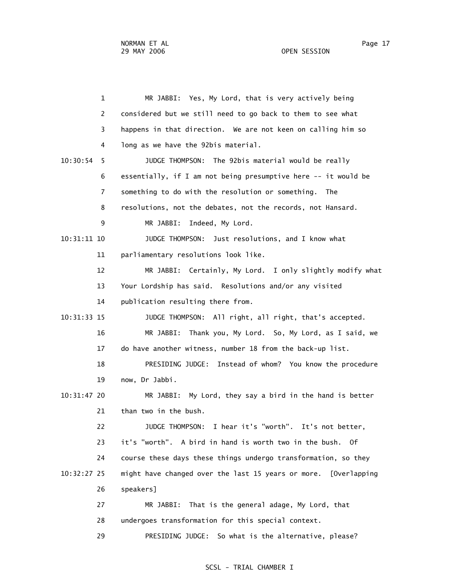1 MR JABBI: Yes, My Lord, that is very actively being 2 considered but we still need to go back to them to see what 3 happens in that direction. We are not keen on calling him so 4 long as we have the 92bis material. 10:30:54 5 JUDGE THOMPSON: The 92bis material would be really 6 essentially, if I am not being presumptive here -- it would be 7 something to do with the resolution or something. The 8 resolutions, not the debates, not the records, not Hansard. 9 MR JABBI: Indeed, My Lord. 10:31:11 10 JUDGE THOMPSON: Just resolutions, and I know what 11 parliamentary resolutions look like. 12 MR JABBI: Certainly, My Lord. I only slightly modify what 13 Your Lordship has said. Resolutions and/or any visited 14 publication resulting there from. 10:31:33 15 JUDGE THOMPSON: All right, all right, that's accepted. 16 MR JABBI: Thank you, My Lord. So, My Lord, as I said, we 17 do have another witness, number 18 from the back-up list. 18 PRESIDING JUDGE: Instead of whom? You know the procedure 19 now, Dr Jabbi. 10:31:47 20 MR JABBI: My Lord, they say a bird in the hand is better 21 than two in the bush. 22 JUDGE THOMPSON: I hear it's "worth". It's not better, 23 it's "worth". A bird in hand is worth two in the bush. Of 24 course these days these things undergo transformation, so they 10:32:27 25 might have changed over the last 15 years or more. [Overlapping 26 speakers] 27 MR JABBI: That is the general adage, My Lord, that 28 undergoes transformation for this special context. 29 PRESIDING JUDGE: So what is the alternative, please?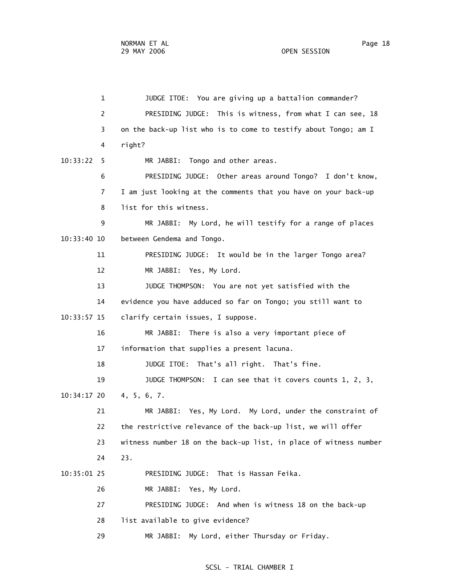1 JUDGE ITOE: You are giving up a battalion commander? 2 PRESIDING JUDGE: This is witness, from what I can see, 18 3 on the back-up list who is to come to testify about Tongo; am I 4 right? 10:33:22 5 MR JABBI: Tongo and other areas. 6 PRESIDING JUDGE: Other areas around Tongo? I don't know, 7 I am just looking at the comments that you have on your back-up 8 list for this witness. 9 MR JABBI: My Lord, he will testify for a range of places 10:33:40 10 between Gendema and Tongo. 11 PRESIDING JUDGE: It would be in the larger Tongo area? 12 MR JABBI: Yes, My Lord. 13 JUDGE THOMPSON: You are not yet satisfied with the 14 evidence you have adduced so far on Tongo; you still want to 10:33:57 15 clarify certain issues, I suppose. 16 MR JABBI: There is also a very important piece of 17 information that supplies a present lacuna. 18 JUDGE ITOE: That's all right. That's fine. 19 JUDGE THOMPSON: I can see that it covers counts 1, 2, 3, 10:34:17 20 4, 5, 6, 7. 21 MR JABBI: Yes, My Lord. My Lord, under the constraint of 22 the restrictive relevance of the back-up list, we will offer 23 witness number 18 on the back-up list, in place of witness number 24 23. 10:35:01 25 PRESIDING JUDGE: That is Hassan Feika. 26 MR JABBI: Yes, My Lord. 27 PRESIDING JUDGE: And when is witness 18 on the back-up 28 list available to give evidence?

# SCSL - TRIAL CHAMBER I

29 MR JABBI: My Lord, either Thursday or Friday.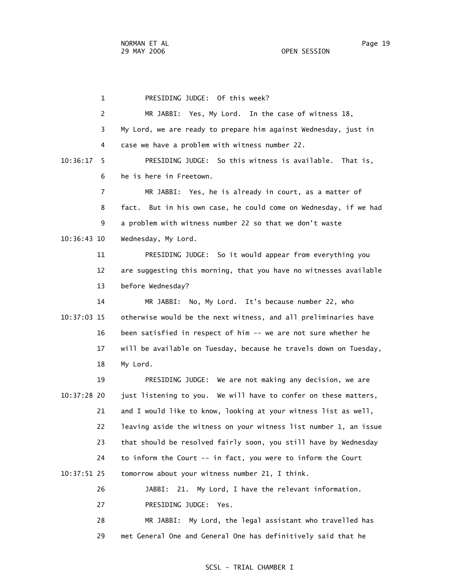1 PRESIDING JUDGE: Of this week? 2 MR JABBI: Yes, My Lord. In the case of witness 18, 3 My Lord, we are ready to prepare him against Wednesday, just in 4 case we have a problem with witness number 22. 10:36:17 5 PRESIDING JUDGE: So this witness is available. That is, 6 he is here in Freetown. 7 MR JABBI: Yes, he is already in court, as a matter of 8 fact. But in his own case, he could come on Wednesday, if we had 9 a problem with witness number 22 so that we don't waste 10:36:43 10 Wednesday, My Lord. 11 PRESIDING JUDGE: So it would appear from everything you 12 are suggesting this morning, that you have no witnesses available 13 before Wednesday? 14 MR JABBI: No, My Lord. It's because number 22, who 10:37:03 15 otherwise would be the next witness, and all preliminaries have 16 been satisfied in respect of him -- we are not sure whether he 17 will be available on Tuesday, because he travels down on Tuesday, 18 My Lord. 19 PRESIDING JUDGE: We are not making any decision, we are 10:37:28 20 just listening to you. We will have to confer on these matters, 21 and I would like to know, looking at your witness list as well, 22 leaving aside the witness on your witness list number 1, an issue 23 that should be resolved fairly soon, you still have by Wednesday 24 to inform the Court -- in fact, you were to inform the Court 10:37:51 25 tomorrow about your witness number 21, I think. 26 JABBI: 21. My Lord, I have the relevant information. 27 PRESIDING JUDGE: Yes.

 28 MR JABBI: My Lord, the legal assistant who travelled has 29 met General One and General One has definitively said that he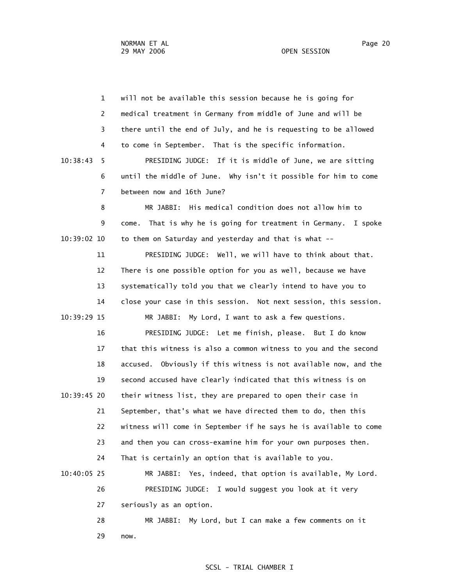1 will not be available this session because he is going for 2 medical treatment in Germany from middle of June and will be 3 there until the end of July, and he is requesting to be allowed 4 to come in September. That is the specific information. 10:38:43 5 PRESIDING JUDGE: If it is middle of June, we are sitting 6 until the middle of June. Why isn't it possible for him to come 7 between now and 16th June? 8 MR JABBI: His medical condition does not allow him to 9 come. That is why he is going for treatment in Germany. I spoke 10:39:02 10 to them on Saturday and yesterday and that is what -- 11 PRESIDING JUDGE: Well, we will have to think about that. 12 There is one possible option for you as well, because we have 13 systematically told you that we clearly intend to have you to 14 close your case in this session. Not next session, this session. 10:39:29 15 MR JABBI: My Lord, I want to ask a few questions. 16 PRESIDING JUDGE: Let me finish, please. But I do know 17 that this witness is also a common witness to you and the second 18 accused. Obviously if this witness is not available now, and the 19 second accused have clearly indicated that this witness is on 10:39:45 20 their witness list, they are prepared to open their case in 21 September, that's what we have directed them to do, then this 22 witness will come in September if he says he is available to come 23 and then you can cross-examine him for your own purposes then. 24 That is certainly an option that is available to you. 10:40:05 25 MR JABBI: Yes, indeed, that option is available, My Lord. 26 PRESIDING JUDGE: I would suggest you look at it very 27 seriously as an option. 28 MR JABBI: My Lord, but I can make a few comments on it 29 now.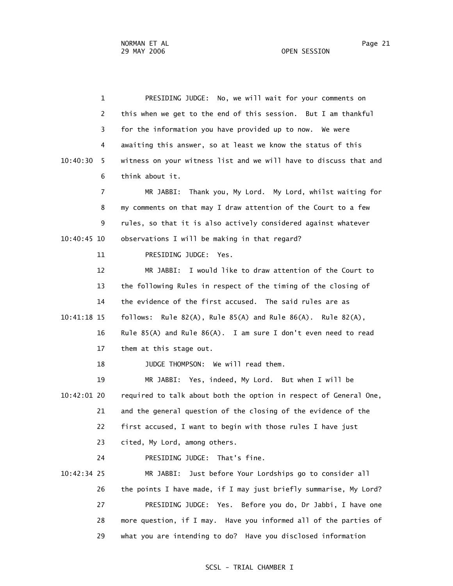1 PRESIDING JUDGE: No, we will wait for your comments on 2 this when we get to the end of this session. But I am thankful 3 for the information you have provided up to now. We were 4 awaiting this answer, so at least we know the status of this 10:40:30 5 witness on your witness list and we will have to discuss that and 6 think about it. 7 MR JABBI: Thank you, My Lord. My Lord, whilst waiting for 8 my comments on that may I draw attention of the Court to a few 9 rules, so that it is also actively considered against whatever 10:40:45 10 observations I will be making in that regard? 11 PRESIDING JUDGE: Yes. 12 MR JABBI: I would like to draw attention of the Court to 13 the following Rules in respect of the timing of the closing of 14 the evidence of the first accused. The said rules are as 10:41:18 15 follows: Rule 82(A), Rule 85(A) and Rule 86(A). Rule 82(A), 16 Rule 85(A) and Rule 86(A). I am sure I don't even need to read 17 them at this stage out. 18 JUDGE THOMPSON: We will read them. 19 MR JABBI: Yes, indeed, My Lord. But when I will be 10:42:01 20 required to talk about both the option in respect of General One, 21 and the general question of the closing of the evidence of the 22 first accused, I want to begin with those rules I have just 23 cited, My Lord, among others. 24 PRESIDING JUDGE: That's fine. 10:42:34 25 MR JABBI: Just before Your Lordships go to consider all 26 the points I have made, if I may just briefly summarise, My Lord? 27 PRESIDING JUDGE: Yes. Before you do, Dr Jabbi, I have one 28 more question, if I may. Have you informed all of the parties of 29 what you are intending to do? Have you disclosed information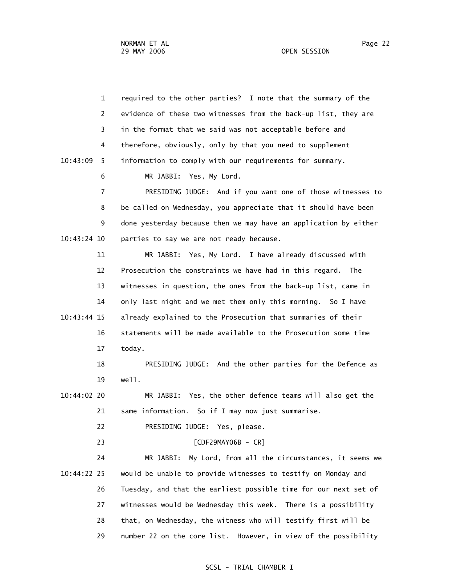1 required to the other parties? I note that the summary of the 2 evidence of these two witnesses from the back-up list, they are 3 in the format that we said was not acceptable before and 4 therefore, obviously, only by that you need to supplement 10:43:09 5 information to comply with our requirements for summary. 6 MR JABBI: Yes, My Lord. 7 PRESIDING JUDGE: And if you want one of those witnesses to 8 be called on Wednesday, you appreciate that it should have been 9 done yesterday because then we may have an application by either 10:43:24 10 parties to say we are not ready because. 11 MR JABBI: Yes, My Lord. I have already discussed with 12 Prosecution the constraints we have had in this regard. The 13 witnesses in question, the ones from the back-up list, came in 14 only last night and we met them only this morning. So I have 10:43:44 15 already explained to the Prosecution that summaries of their 16 statements will be made available to the Prosecution some time 17 today. 18 PRESIDING JUDGE: And the other parties for the Defence as 19 well. 10:44:02 20 MR JABBI: Yes, the other defence teams will also get the 21 same information. So if I may now just summarise. 22 PRESIDING JUDGE: Yes, please. 23 [CDF29MAY06B - CR] 24 MR JABBI: My Lord, from all the circumstances, it seems we 10:44:22 25 would be unable to provide witnesses to testify on Monday and 26 Tuesday, and that the earliest possible time for our next set of 27 witnesses would be Wednesday this week. There is a possibility 28 that, on Wednesday, the witness who will testify first will be

29 number 22 on the core list. However, in view of the possibility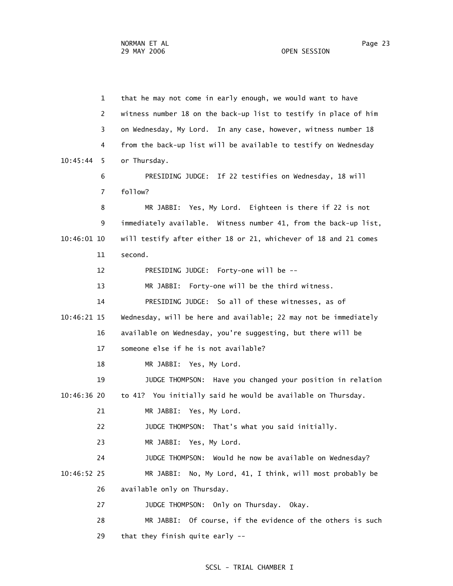1 that he may not come in early enough, we would want to have 2 witness number 18 on the back-up list to testify in place of him 3 on Wednesday, My Lord. In any case, however, witness number 18 4 from the back-up list will be available to testify on Wednesday 10:45:44 5 or Thursday. 6 PRESIDING JUDGE: If 22 testifies on Wednesday, 18 will 7 follow? 8 MR JABBI: Yes, My Lord. Eighteen is there if 22 is not 9 immediately available. Witness number 41, from the back-up list, 10:46:01 10 will testify after either 18 or 21, whichever of 18 and 21 comes 11 second. 12 PRESIDING JUDGE: Forty-one will be -- 13 MR JABBI: Forty-one will be the third witness. 14 PRESIDING JUDGE: So all of these witnesses, as of 10:46:21 15 Wednesday, will be here and available; 22 may not be immediately 16 available on Wednesday, you're suggesting, but there will be 17 someone else if he is not available? 18 MR JABBI: Yes, My Lord. 19 JUDGE THOMPSON: Have you changed your position in relation 10:46:36 20 to 41? You initially said he would be available on Thursday. 21 MR JABBI: Yes, My Lord. 22 JUDGE THOMPSON: That's what you said initially. 23 MR JABBI: Yes, My Lord. 24 JUDGE THOMPSON: Would he now be available on Wednesday? 10:46:52 25 MR JABBI: No, My Lord, 41, I think, will most probably be 26 available only on Thursday. 27 JUDGE THOMPSON: Only on Thursday. Okay. 28 MR JABBI: Of course, if the evidence of the others is such 29 that they finish quite early --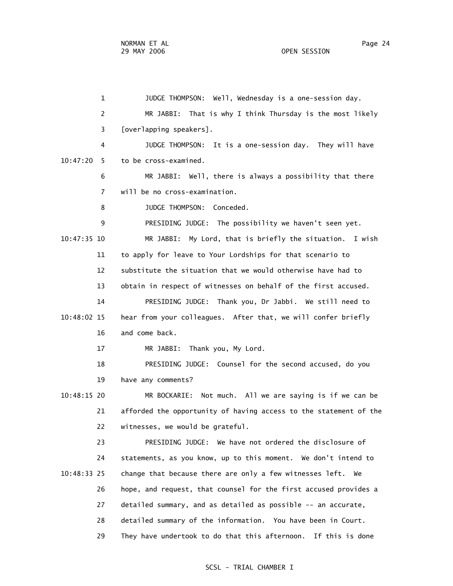1 JUDGE THOMPSON: Well, Wednesday is a one-session day. 2 MR JABBI: That is why I think Thursday is the most likely 3 [overlapping speakers]. 4 JUDGE THOMPSON: It is a one-session day. They will have 10:47:20 5 to be cross-examined. 6 MR JABBI: Well, there is always a possibility that there 7 will be no cross-examination. 8 JUDGE THOMPSON: Conceded. 9 PRESIDING JUDGE: The possibility we haven't seen yet. 10:47:35 10 MR JABBI: My Lord, that is briefly the situation. I wish 11 to apply for leave to Your Lordships for that scenario to 12 substitute the situation that we would otherwise have had to 13 obtain in respect of witnesses on behalf of the first accused. 14 PRESIDING JUDGE: Thank you, Dr Jabbi. We still need to 10:48:02 15 hear from your colleagues. After that, we will confer briefly 16 and come back. 17 MR JABBI: Thank you, My Lord. 18 PRESIDING JUDGE: Counsel for the second accused, do you 19 have any comments? 10:48:15 20 MR BOCKARIE: Not much. All we are saying is if we can be 21 afforded the opportunity of having access to the statement of the 22 witnesses, we would be grateful. 23 PRESIDING JUDGE: We have not ordered the disclosure of 24 statements, as you know, up to this moment. We don't intend to 10:48:33 25 change that because there are only a few witnesses left. We 26 hope, and request, that counsel for the first accused provides a 27 detailed summary, and as detailed as possible -- an accurate, 28 detailed summary of the information. You have been in Court. 29 They have undertook to do that this afternoon. If this is done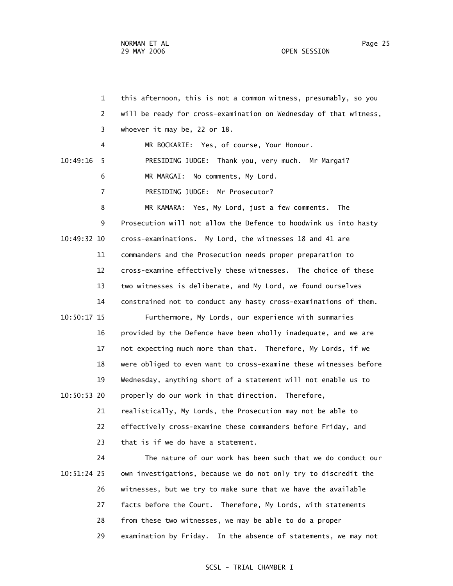1 this afternoon, this is not a common witness, presumably, so you 2 will be ready for cross-examination on Wednesday of that witness, 3 whoever it may be, 22 or 18. 4 MR BOCKARIE: Yes, of course, Your Honour. 10:49:16 5 PRESIDING JUDGE: Thank you, very much. Mr Margai? 6 MR MARGAI: No comments, My Lord. 7 PRESIDING JUDGE: Mr Prosecutor? 8 MR KAMARA: Yes, My Lord, just a few comments. The 9 Prosecution will not allow the Defence to hoodwink us into hasty 10:49:32 10 cross-examinations. My Lord, the witnesses 18 and 41 are 11 commanders and the Prosecution needs proper preparation to 12 cross-examine effectively these witnesses. The choice of these 13 two witnesses is deliberate, and My Lord, we found ourselves 14 constrained not to conduct any hasty cross-examinations of them. 10:50:17 15 Furthermore, My Lords, our experience with summaries 16 provided by the Defence have been wholly inadequate, and we are 17 not expecting much more than that. Therefore, My Lords, if we 18 were obliged to even want to cross-examine these witnesses before 19 Wednesday, anything short of a statement will not enable us to 10:50:53 20 properly do our work in that direction. Therefore, 21 realistically, My Lords, the Prosecution may not be able to 22 effectively cross-examine these commanders before Friday, and 23 that is if we do have a statement. 24 The nature of our work has been such that we do conduct our 10:51:24 25 own investigations, because we do not only try to discredit the 26 witnesses, but we try to make sure that we have the available

27 facts before the Court. Therefore, My Lords, with statements

28 from these two witnesses, we may be able to do a proper

29 examination by Friday. In the absence of statements, we may not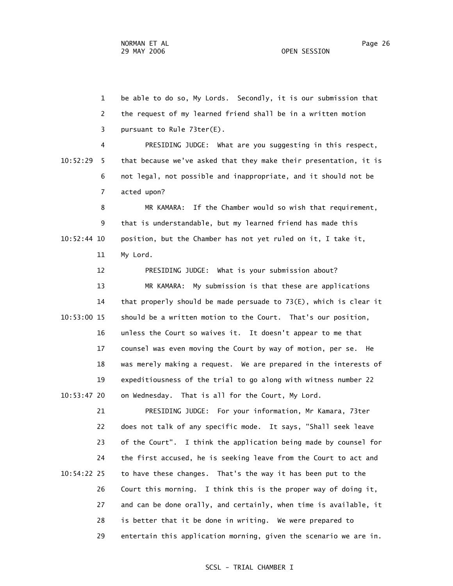1 be able to do so, My Lords. Secondly, it is our submission that 2 the request of my learned friend shall be in a written motion 3 pursuant to Rule 73ter(E).

 4 PRESIDING JUDGE: What are you suggesting in this respect, 10:52:29 5 that because we've asked that they make their presentation, it is 6 not legal, not possible and inappropriate, and it should not be 7 acted upon?

 8 MR KAMARA: If the Chamber would so wish that requirement, 9 that is understandable, but my learned friend has made this 10:52:44 10 position, but the Chamber has not yet ruled on it, I take it, 11 My Lord.

 12 PRESIDING JUDGE: What is your submission about? 13 MR KAMARA: My submission is that these are applications 14 that properly should be made persuade to 73(E), which is clear it 10:53:00 15 should be a written motion to the Court. That's our position, 16 unless the Court so waives it. It doesn't appear to me that 17 counsel was even moving the Court by way of motion, per se. He 18 was merely making a request. We are prepared in the interests of 19 expeditiousness of the trial to go along with witness number 22 10:53:47 20 on Wednesday. That is all for the Court, My Lord.

 21 PRESIDING JUDGE: For your information, Mr Kamara, 73ter 22 does not talk of any specific mode. It says, "Shall seek leave 23 of the Court". I think the application being made by counsel for 24 the first accused, he is seeking leave from the Court to act and 10:54:22 25 to have these changes. That's the way it has been put to the 26 Court this morning. I think this is the proper way of doing it, 27 and can be done orally, and certainly, when time is available, it 28 is better that it be done in writing. We were prepared to 29 entertain this application morning, given the scenario we are in.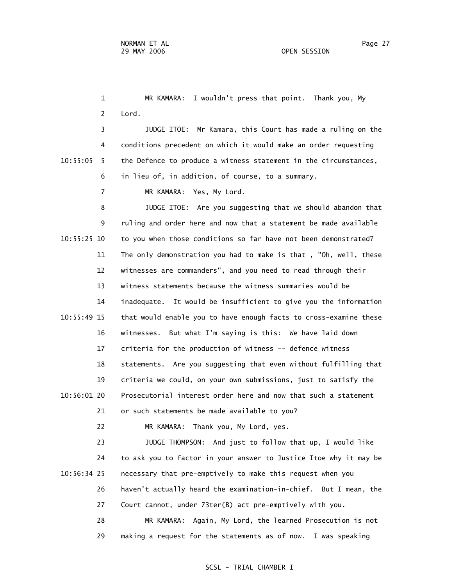1 MR KAMARA: I wouldn't press that point. Thank you, My 2 Lord. 3 JUDGE ITOE: Mr Kamara, this Court has made a ruling on the 4 conditions precedent on which it would make an order requesting 10:55:05 5 the Defence to produce a witness statement in the circumstances, 6 in lieu of, in addition, of course, to a summary. 7 MR KAMARA: Yes, My Lord. 8 JUDGE ITOE: Are you suggesting that we should abandon that 9 ruling and order here and now that a statement be made available 10:55:25 10 to you when those conditions so far have not been demonstrated? 11 The only demonstration you had to make is that , "Oh, well, these

 12 witnesses are commanders", and you need to read through their 13 witness statements because the witness summaries would be 14 inadequate. It would be insufficient to give you the information 10:55:49 15 that would enable you to have enough facts to cross-examine these 16 witnesses. But what I'm saying is this: We have laid down 17 criteria for the production of witness -- defence witness 18 statements. Are you suggesting that even without fulfilling that 19 criteria we could, on your own submissions, just to satisfy the 10:56:01 20 Prosecutorial interest order here and now that such a statement 21 or such statements be made available to you?

22 MR KAMARA: Thank you, My Lord, yes.

 23 JUDGE THOMPSON: And just to follow that up, I would like 24 to ask you to factor in your answer to Justice Itoe why it may be 10:56:34 25 necessary that pre-emptively to make this request when you 26 haven't actually heard the examination-in-chief. But I mean, the 27 Court cannot, under 73ter(B) act pre-emptively with you. 28 MR KAMARA: Again, My Lord, the learned Prosecution is not

# SCSL - TRIAL CHAMBER I

29 making a request for the statements as of now. I was speaking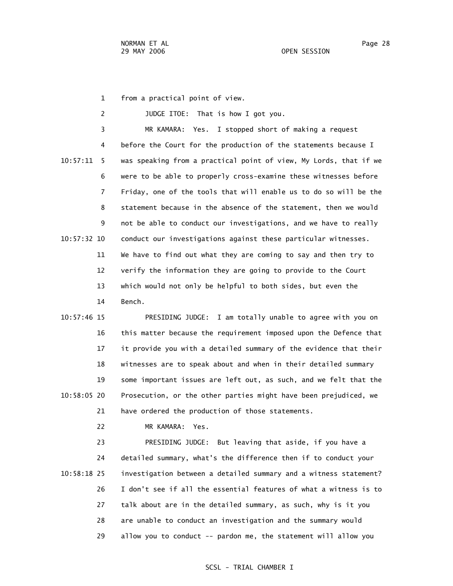1 from a practical point of view.

 2 JUDGE ITOE: That is how I got you. 3 MR KAMARA: Yes. I stopped short of making a request 4 before the Court for the production of the statements because I 10:57:11 5 was speaking from a practical point of view, My Lords, that if we 6 were to be able to properly cross-examine these witnesses before 7 Friday, one of the tools that will enable us to do so will be the 8 statement because in the absence of the statement, then we would 9 not be able to conduct our investigations, and we have to really 10:57:32 10 conduct our investigations against these particular witnesses. 11 We have to find out what they are coming to say and then try to 12 verify the information they are going to provide to the Court 13 which would not only be helpful to both sides, but even the 14 Bench.

 10:57:46 15 PRESIDING JUDGE: I am totally unable to agree with you on 16 this matter because the requirement imposed upon the Defence that 17 it provide you with a detailed summary of the evidence that their 18 witnesses are to speak about and when in their detailed summary 19 some important issues are left out, as such, and we felt that the 10:58:05 20 Prosecution, or the other parties might have been prejudiced, we 21 have ordered the production of those statements.

22 MR KAMARA: Yes.

 23 PRESIDING JUDGE: But leaving that aside, if you have a 24 detailed summary, what's the difference then if to conduct your 10:58:18 25 investigation between a detailed summary and a witness statement? 26 I don't see if all the essential features of what a witness is to 27 talk about are in the detailed summary, as such, why is it you 28 are unable to conduct an investigation and the summary would 29 allow you to conduct -- pardon me, the statement will allow you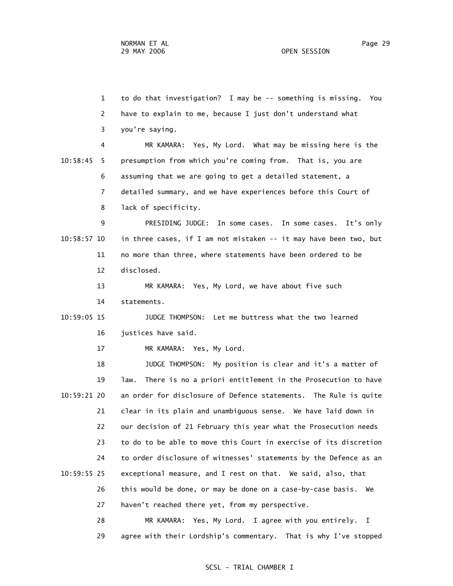1 to do that investigation? I may be -- something is missing. You 2 have to explain to me, because I just don't understand what 3 you're saying. 4 MR KAMARA: Yes, My Lord. What may be missing here is the 10:58:45 5 presumption from which you're coming from. That is, you are 6 assuming that we are going to get a detailed statement, a 7 detailed summary, and we have experiences before this Court of 8 lack of specificity. 9 PRESIDING JUDGE: In some cases. In some cases. It's only 10:58:57 10 in three cases, if I am not mistaken -- it may have been two, but 11 no more than three, where statements have been ordered to be 12 disclosed. 13 MR KAMARA: Yes, My Lord, we have about five such 14 statements. 10:59:05 15 JUDGE THOMPSON: Let me buttress what the two learned 16 justices have said. 17 MR KAMARA: Yes, My Lord. 18 JUDGE THOMPSON: My position is clear and it's a matter of 19 law. There is no a priori entitlement in the Prosecution to have 10:59:21 20 an order for disclosure of Defence statements. The Rule is quite 21 clear in its plain and unambiguous sense. We have laid down in 22 our decision of 21 February this year what the Prosecution needs 23 to do to be able to move this Court in exercise of its discretion 24 to order disclosure of witnesses' statements by the Defence as an 10:59:55 25 exceptional measure, and I rest on that. We said, also, that 26 this would be done, or may be done on a case-by-case basis. We 27 haven't reached there yet, from my perspective. 28 MR KAMARA: Yes, My Lord. I agree with you entirely. I

29 agree with their Lordship's commentary. That is why I've stopped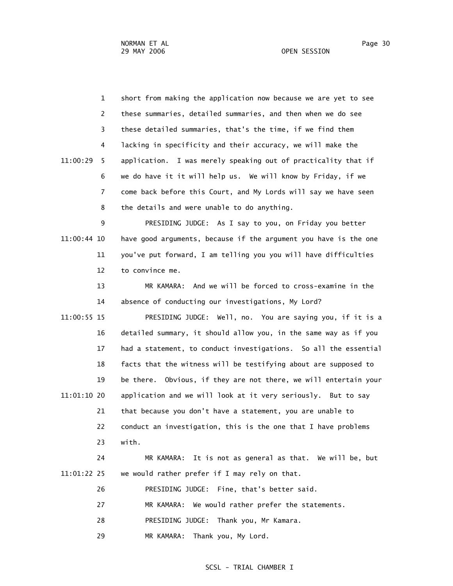1 short from making the application now because we are yet to see 2 these summaries, detailed summaries, and then when we do see 3 these detailed summaries, that's the time, if we find them 4 lacking in specificity and their accuracy, we will make the 11:00:29 5 application. I was merely speaking out of practicality that if 6 we do have it it will help us. We will know by Friday, if we 7 come back before this Court, and My Lords will say we have seen 8 the details and were unable to do anything. 9 PRESIDING JUDGE: As I say to you, on Friday you better 11:00:44 10 have good arguments, because if the argument you have is the one

 11 you've put forward, I am telling you you will have difficulties 12 to convince me.

 13 MR KAMARA: And we will be forced to cross-examine in the 14 absence of conducting our investigations, My Lord?

 11:00:55 15 PRESIDING JUDGE: Well, no. You are saying you, if it is a 16 detailed summary, it should allow you, in the same way as if you 17 had a statement, to conduct investigations. So all the essential 18 facts that the witness will be testifying about are supposed to 19 be there. Obvious, if they are not there, we will entertain your 11:01:10 20 application and we will look at it very seriously. But to say 21 that because you don't have a statement, you are unable to 22 conduct an investigation, this is the one that I have problems 23 with.

 24 MR KAMARA: It is not as general as that. We will be, but 11:01:22 25 we would rather prefer if I may rely on that.

26 PRESIDING JUDGE: Fine, that's better said.

27 MR KAMARA: We would rather prefer the statements.

28 PRESIDING JUDGE: Thank you, Mr Kamara.

29 MR KAMARA: Thank you, My Lord.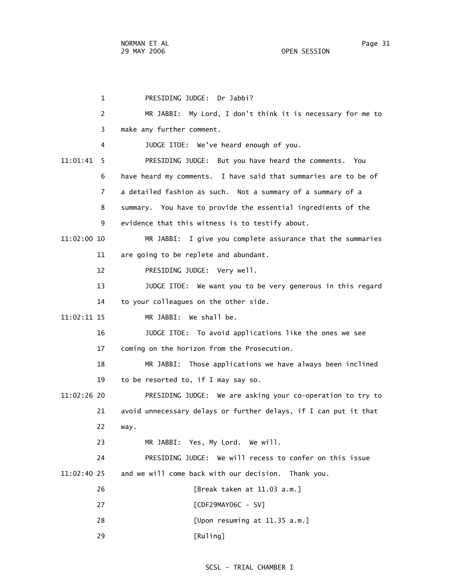1 PRESIDING JUDGE: Dr Jabbi? 2 MR JABBI: My Lord, I don't think it is necessary for me to 3 make any further comment. 4 JUDGE ITOE: We've heard enough of you. 11:01:41 5 PRESIDING JUDGE: But you have heard the comments. You 6 have heard my comments. I have said that summaries are to be of 7 a detailed fashion as such. Not a summary of a summary of a 8 summary. You have to provide the essential ingredients of the 9 evidence that this witness is to testify about. 11:02:00 10 MR JABBI: I give you complete assurance that the summaries 11 are going to be replete and abundant. 12 PRESIDING JUDGE: Very well. 13 JUDGE ITOE: We want you to be very generous in this regard 14 to your colleagues on the other side. 11:02:11 15 MR JABBI: We shall be. 16 JUDGE ITOE: To avoid applications like the ones we see 17 coming on the horizon from the Prosecution. 18 MR JABBI: Those applications we have always been inclined 19 to be resorted to, if I may say so. 11:02:26 20 PRESIDING JUDGE: We are asking your co-operation to try to 21 avoid unnecessary delays or further delays, if I can put it that 22 way. 23 MR JABBI: Yes, My Lord. We will. 24 PRESIDING JUDGE: We will recess to confer on this issue 11:02:40 25 and we will come back with our decision. Thank you. 26 [Break taken at 11.03 a.m.] 27 [CDF29MAY06C - SV] 28 [Upon resuming at 11.35 a.m.] 29 [Ruling]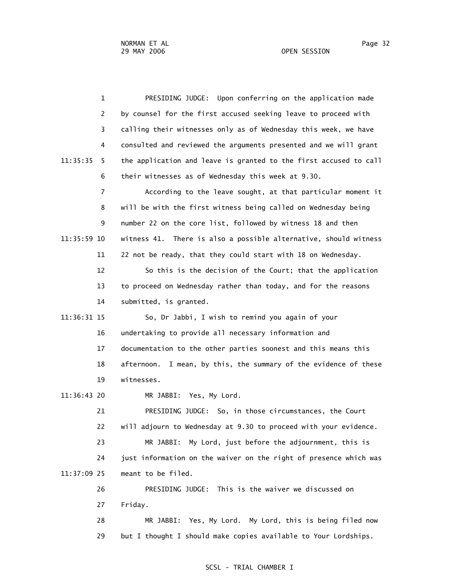1 PRESIDING JUDGE: Upon conferring on the application made 2 by counsel for the first accused seeking leave to proceed with 3 calling their witnesses only as of Wednesday this week, we have 4 consulted and reviewed the arguments presented and we will grant 11:35:35 5 the application and leave is granted to the first accused to call 6 their witnesses as of Wednesday this week at 9.30. 7 According to the leave sought, at that particular moment it 8 will be with the first witness being called on Wednesday being 9 number 22 on the core list, followed by witness 18 and then 11:35:59 10 witness 41. There is also a possible alternative, should witness 11 22 not be ready, that they could start with 18 on Wednesday. 12 So this is the decision of the Court; that the application 13 to proceed on Wednesday rather than today, and for the reasons 14 submitted, is granted. 11:36:31 15 So, Dr Jabbi, I wish to remind you again of your 16 undertaking to provide all necessary information and 17 documentation to the other parties soonest and this means this 18 afternoon. I mean, by this, the summary of the evidence of these 19 witnesses. 11:36:43 20 MR JABBI: Yes, My Lord. 21 PRESIDING JUDGE: So, in those circumstances, the Court 22 will adjourn to Wednesday at 9.30 to proceed with your evidence. 23 MR JABBI: My Lord, just before the adjournment, this is 24 just information on the waiver on the right of presence which was 11:37:09 25 meant to be filed. 26 PRESIDING JUDGE: This is the waiver we discussed on 27 Friday. 28 MR JABBI: Yes, My Lord. My Lord, this is being filed now

29 but I thought I should make copies available to Your Lordships.